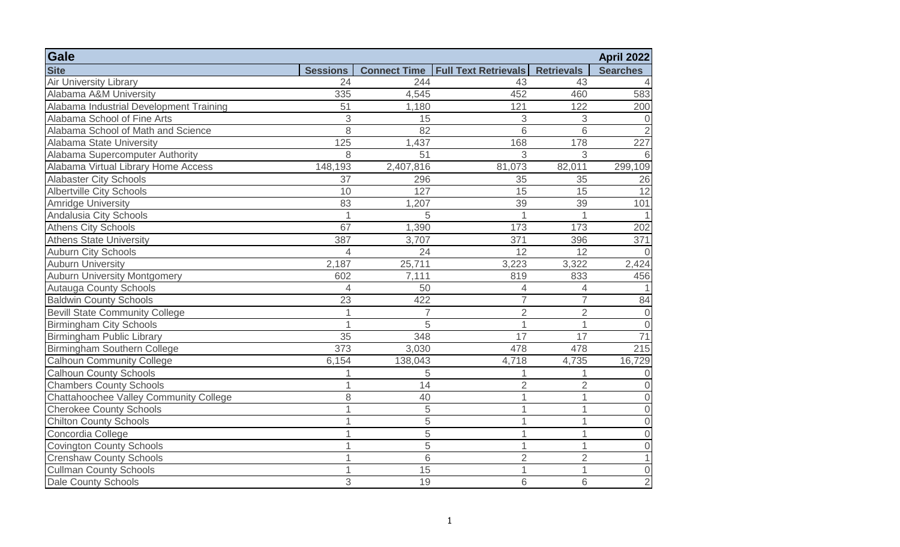| Gale                                    |                 |                     |                             |                   | <b>April 2022</b> |
|-----------------------------------------|-----------------|---------------------|-----------------------------|-------------------|-------------------|
| <b>Site</b>                             | <b>Sessions</b> | <b>Connect Time</b> | <b>Full Text Retrievals</b> | <b>Retrievals</b> | <b>Searches</b>   |
| <b>Air University Library</b>           | 24              | 244                 | 43                          | 43                | $\overline{4}$    |
| Alabama A&M University                  | 335             | 4,545               | 452                         | 460               | 583               |
| Alabama Industrial Development Training | 51              | 1,180               | 121                         | 122               | 200               |
| Alabama School of Fine Arts             | 3               | 15                  | 3                           | 3                 | $\mathbf 0$       |
| Alabama School of Math and Science      | 8               | 82                  | 6                           | 6                 | $\overline{2}$    |
| Alabama State University                | 125             | 1,437               | 168                         | 178               | 227               |
| Alabama Supercomputer Authority         | 8               | 51                  | 3                           | 3                 | 6                 |
| Alabama Virtual Library Home Access     | 148,193         | 2,407,816           | 81,073                      | 82,011            | 299,109           |
| <b>Alabaster City Schools</b>           | 37              | 296                 | 35                          | 35                | 26                |
| <b>Albertville City Schools</b>         | 10              | 127                 | 15                          | 15                | 12                |
| <b>Amridge University</b>               | 83              | 1,207               | 39                          | 39                | 101               |
| Andalusia City Schools                  |                 | 5                   |                             | $\mathbf 1$       | $\mathbf{1}$      |
| <b>Athens City Schools</b>              | 67              | 1,390               | 173                         | 173               | 202               |
| <b>Athens State University</b>          | 387             | 3,707               | 371                         | 396               | 371               |
| Auburn City Schools                     | $\overline{4}$  | 24                  | $\overline{12}$             | $\overline{12}$   | $\overline{0}$    |
| <b>Auburn University</b>                | 2,187           | 25,711              | 3,223                       | 3,322             | 2,424             |
| <b>Auburn University Montgomery</b>     | 602             | 7,111               | 819                         | 833               | 456               |
| <b>Autauga County Schools</b>           | 4               | 50                  | 4                           | 4                 | $\mathbf{1}$      |
| <b>Baldwin County Schools</b>           | 23              | 422                 | $\overline{7}$              | $\overline{7}$    | 84                |
| <b>Bevill State Community College</b>   |                 | $\overline{7}$      | $\overline{2}$              | $\overline{2}$    | $\overline{0}$    |
| <b>Birmingham City Schools</b>          |                 | 5                   | 1                           | $\mathbf{1}$      | $\overline{0}$    |
| <b>Birmingham Public Library</b>        | 35              | 348                 | 17                          | $\overline{17}$   | $\overline{71}$   |
| Birmingham Southern College             | 373             | 3,030               | 478                         | 478               | 215               |
| <b>Calhoun Community College</b>        | 6,154           | 138,043             | 4,718                       | 4,735             | 16,729            |
| <b>Calhoun County Schools</b>           |                 | 5                   |                             |                   | $\overline{0}$    |
| <b>Chambers County Schools</b>          |                 | 14                  | $\overline{2}$              | $\overline{2}$    | $\overline{0}$    |
| Chattahoochee Valley Community College  | 8               | 40                  | 1                           | 1                 | $\overline{0}$    |
| <b>Cherokee County Schools</b>          |                 | 5                   | 1                           | 1                 | $\overline{0}$    |
| <b>Chilton County Schools</b>           |                 | $\overline{5}$      | 1                           | 1                 | $\mathbf 0$       |
| Concordia College                       |                 | 5                   | 1                           | 1                 | $\overline{0}$    |
| <b>Covington County Schools</b>         |                 | 5                   | 1                           | $\mathbf{1}$      | $\mathbf 0$       |
| <b>Crenshaw County Schools</b>          |                 | 6                   | $\overline{2}$              | $\overline{2}$    | $\mathbf{1}$      |
| <b>Cullman County Schools</b>           | 1               | 15                  | 1                           | $\mathbf 1$       | $\mathbf 0$       |
| <b>Dale County Schools</b>              | 3               | 19                  | 6                           | 6                 | $\overline{2}$    |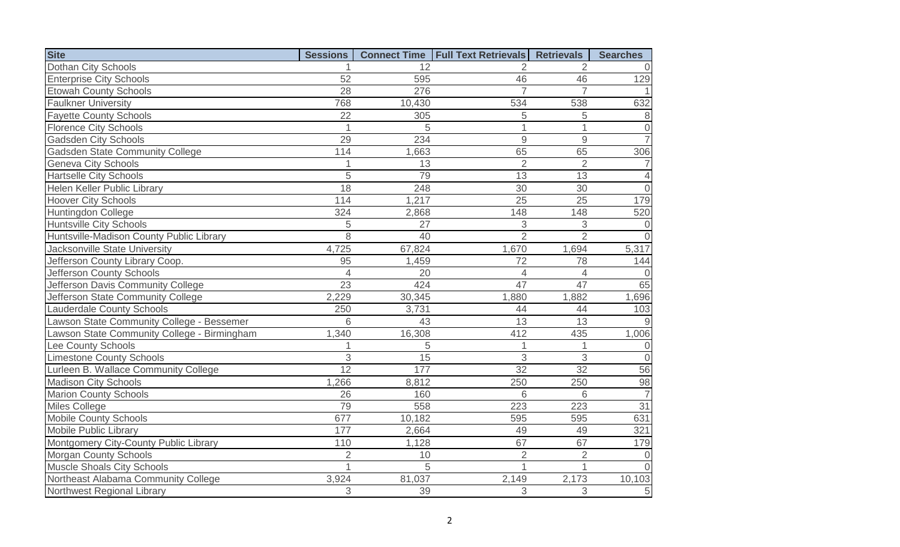| <b>Site</b>                                 | <b>Sessions</b> |        | <b>Connect Time   Full Text Retrievals   Retrievals</b> |                 | <b>Searches</b> |
|---------------------------------------------|-----------------|--------|---------------------------------------------------------|-----------------|-----------------|
| Dothan City Schools                         |                 | 12     | 2                                                       | 2               | $\overline{0}$  |
| <b>Enterprise City Schools</b>              | 52              | 595    | 46                                                      | 46              | 129             |
| <b>Etowah County Schools</b>                | 28              | 276    | $\overline{7}$                                          | $\overline{7}$  | $\vert$         |
| <b>Faulkner University</b>                  | 768             | 10,430 | 534                                                     | 538             | 632             |
| <b>Fayette County Schools</b>               | 22              | 305    | 5                                                       | 5               | $\,8\,$         |
| <b>Florence City Schools</b>                |                 | 5      | $\mathbf{1}$                                            | $\mathbf{1}$    | $\overline{0}$  |
| <b>Gadsden City Schools</b>                 | 29              | 234    | $\hbox{9}$                                              | $\overline{9}$  | $\overline{7}$  |
| <b>Gadsden State Community College</b>      | 114             | 1,663  | 65                                                      | 65              | 306             |
| <b>Geneva City Schools</b>                  |                 | 13     | $\overline{2}$                                          | $\sqrt{2}$      | $\overline{7}$  |
| <b>Hartselle City Schools</b>               | 5               | 79     | 13                                                      | 13              | $\overline{4}$  |
| <b>Helen Keller Public Library</b>          | $\overline{18}$ | 248    | 30                                                      | 30              | $\overline{0}$  |
| <b>Hoover City Schools</b>                  | 114             | 1,217  | $\overline{25}$                                         | $\overline{25}$ | 179             |
| Huntingdon College                          | 324             | 2,868  | 148                                                     | 148             | 520             |
| <b>Huntsville City Schools</b>              | 5               | 27     | 3                                                       | 3               | $\overline{0}$  |
| Huntsville-Madison County Public Library    | 8               | 40     | $\overline{2}$                                          | $\overline{2}$  | $\overline{0}$  |
| Jacksonville State University               | 4,725           | 67,824 | 1,670                                                   | 1,694           | 5,317           |
| Jefferson County Library Coop.              | 95              | 1,459  | 72                                                      | 78              | 144             |
| Jefferson County Schools                    | $\overline{4}$  | 20     | $\overline{4}$                                          | $\overline{4}$  | $\overline{0}$  |
| Jefferson Davis Community College           | 23              | 424    | 47                                                      | 47              | 65              |
| Jefferson State Community College           | 2,229           | 30,345 | 1,880                                                   | 1,882           | 1,696           |
| <b>Lauderdale County Schools</b>            | 250             | 3,731  | 44                                                      | 44              | 103             |
| Lawson State Community College - Bessemer   | 6               | 43     | 13                                                      | 13              | 9               |
| Lawson State Community College - Birmingham | 1,340           | 16,308 | 412                                                     | 435             | 1,006           |
| Lee County Schools                          |                 | 5      | $\mathbf{1}$                                            | $\mathbf{1}$    | $\sqrt{0}$      |
| <b>Limestone County Schools</b>             | 3               | 15     | 3                                                       | 3               | $\overline{0}$  |
| Lurleen B. Wallace Community College        | $\overline{12}$ | 177    | 32                                                      | 32              | 56              |
| <b>Madison City Schools</b>                 | 1,266           | 8,812  | 250                                                     | 250             | 98              |
| <b>Marion County Schools</b>                | 26              | 160    | 6                                                       | 6               | $\overline{7}$  |
| <b>Miles College</b>                        | 79              | 558    | 223                                                     | 223             | 31              |
| <b>Mobile County Schools</b>                | 677             | 10,182 | 595                                                     | 595             | 631             |
| <b>Mobile Public Library</b>                | 177             | 2,664  | 49                                                      | 49              | 321             |
| Montgomery City-County Public Library       | 110             | 1,128  | 67                                                      | 67              | 179             |
| <b>Morgan County Schools</b>                | $\overline{2}$  | 10     | $\overline{2}$                                          | $\overline{2}$  | $\overline{0}$  |
| <b>Muscle Shoals City Schools</b>           |                 | 5      | $\mathbf{1}$                                            | $\overline{1}$  | $\overline{0}$  |
| Northeast Alabama Community College         | 3,924           | 81,037 | 2,149                                                   | 2,173           | 10,103          |
| Northwest Regional Library                  | 3               | 39     | 3                                                       | 3               | $\overline{5}$  |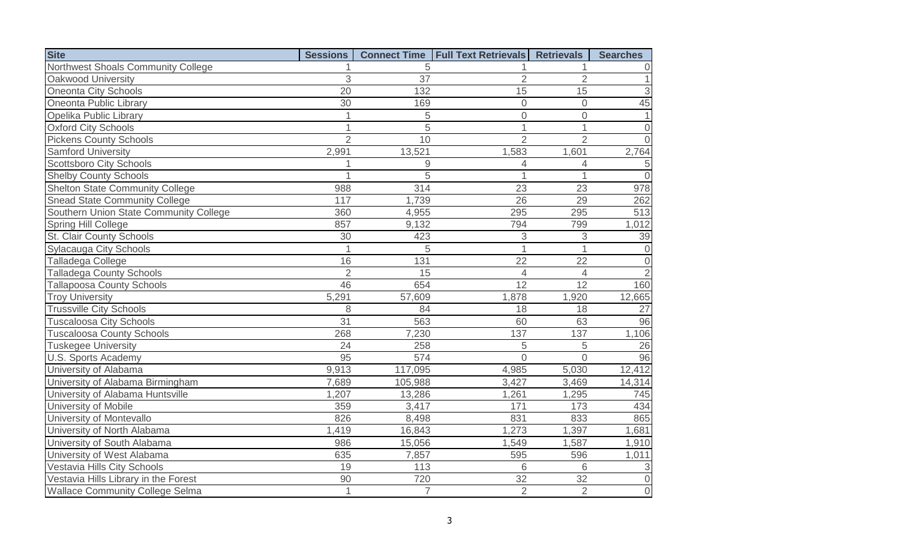| <b>Site</b>                            | <b>Sessions</b> |                 | <b>Connect Time   Full Text Retrievals   Retrievals</b> |                           | <b>Searches</b> |
|----------------------------------------|-----------------|-----------------|---------------------------------------------------------|---------------------------|-----------------|
| Northwest Shoals Community College     |                 | 5               |                                                         |                           | 0               |
| Oakwood University                     | 3               | $\overline{37}$ | $\overline{2}$                                          | $\overline{2}$            | $\mathbf{1}$    |
| <b>Oneonta City Schools</b>            | 20              | 132             | 15                                                      | 15                        | $\overline{3}$  |
| Oneonta Public Library                 | 30              | 169             | $\overline{0}$                                          | $\mathbf 0$               | 45              |
| Opelika Public Library                 |                 | 5               | $\mathbf 0$                                             | $\mathbf 0$               | $\mathbf{1}$    |
| <b>Oxford City Schools</b>             | 1               | 5               | $\mathbf{1}$                                            | $\overline{1}$            | $\mathbf 0$     |
| <b>Pickens County Schools</b>          | $\overline{2}$  | 10              | $\overline{2}$                                          | $\overline{2}$            | $\overline{0}$  |
| <b>Samford University</b>              | 2,991           | 13,521          | 1,583                                                   | 1,601                     | 2,764           |
| <b>Scottsboro City Schools</b>         | 1               | $\overline{9}$  | 4                                                       | $\overline{4}$            | 5               |
| <b>Shelby County Schools</b>           | 1               | 5               | 1                                                       | 1                         | $\overline{0}$  |
| <b>Shelton State Community College</b> | 988             | 314             | 23                                                      | 23                        | 978             |
| <b>Snead State Community College</b>   | 117             | 1,739           | 26                                                      | 29                        | 262             |
| Southern Union State Community College | 360             | 4,955           | 295                                                     | 295                       | 513             |
| Spring Hill College                    | 857             | 9,132           | 794                                                     | 799                       | 1,012           |
| <b>St. Clair County Schools</b>        | 30              | 423             | 3                                                       | $\ensuremath{\mathsf{3}}$ | 39              |
| <b>Sylacauga City Schools</b>          |                 | 5               | 1                                                       | 1                         | $\overline{0}$  |
| Talladega College                      | 16              | 131             | $\overline{22}$                                         | 22                        | $\overline{0}$  |
| <b>Talladega County Schools</b>        | $\overline{2}$  | 15              | $\overline{4}$                                          | $\overline{4}$            | $\overline{2}$  |
| <b>Tallapoosa County Schools</b>       | 46              | 654             | 12                                                      | 12                        | 160             |
| <b>Troy University</b>                 | 5,291           | 57,609          | 1,878                                                   | 1,920                     | 12,665          |
| <b>Trussville City Schools</b>         | 8               | 84              | 18                                                      | 18                        | 27              |
| <b>Tuscaloosa City Schools</b>         | 31              | 563             | 60                                                      | 63                        | 96              |
| <b>Tuscaloosa County Schools</b>       | 268             | 7,230           | 137                                                     | 137                       | 1,106           |
| <b>Tuskegee University</b>             | 24              | 258             | 5                                                       | 5                         | 26              |
| <b>U.S. Sports Academy</b>             | 95              | 574             | $\overline{0}$                                          | $\Omega$                  | 96              |
| University of Alabama                  | 9,913           | 117,095         | 4,985                                                   | 5,030                     | 12,412          |
| University of Alabama Birmingham       | 7,689           | 105,988         | 3,427                                                   | 3,469                     | 14,314          |
| University of Alabama Huntsville       | 1,207           | 13,286          | 1,261                                                   | 1,295                     | 745             |
| University of Mobile                   | 359             | 3,417           | 171                                                     | 173                       | 434             |
| University of Montevallo               | 826             | 8,498           | 831                                                     | 833                       | 865             |
| University of North Alabama            | 1,419           | 16,843          | 1,273                                                   | 1,397                     | 1,681           |
| University of South Alabama            | 986             | 15,056          | 1,549                                                   | 1,587                     | 1,910           |
| University of West Alabama             | 635             | 7,857           | 595                                                     | 596                       | 1,011           |
| Vestavia Hills City Schools            | 19              | 113             | 6                                                       | 6                         | 3               |
| Vestavia Hills Library in the Forest   | 90              | 720             | 32                                                      | 32                        | $\overline{0}$  |
| <b>Wallace Community College Selma</b> | $\mathbf{1}$    | $\overline{7}$  | $\overline{2}$                                          | $\overline{2}$            | $\overline{0}$  |